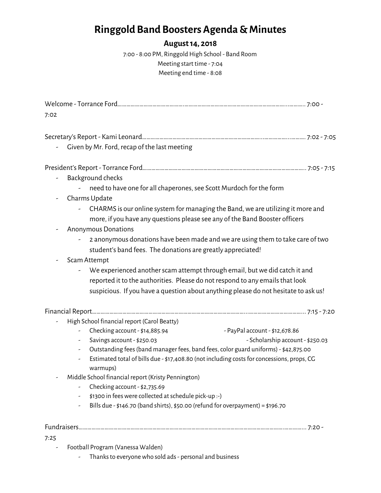# **Ringgold Band Boosters Agenda &Minutes**

#### **August14, 2018**

7:00 - 8:00 PM, Ringgold High School - Band Room Meeting start time - 7:04 Meeting end time - 8:08

| Given by Mr. Ford, recap of the last meeting<br>Background checks<br>need to have one for all chaperones, see Scott Murdoch for the form<br>Charms Update<br>-<br>CHARMS is our online system for managing the Band, we are utilizing it more and<br>more, if you have any questions please see any of the Band Booster officers<br><b>Anonymous Donations</b><br>2 anonymous donations have been made and we are using them to take care of two<br>student's band fees. The donations are greatly appreciated!<br>Scam Attempt<br>We experienced another scam attempt through email, but we did catch it and<br>reported it to the authorities. Please do not respond to any emails that look<br>suspicious. If you have a question about anything please do not hesitate to ask us!<br>High School financial report (Carol Beatty)<br>Checking account - \$14,885.94<br>- PayPal account - \$12,678.86<br>- Scholarship account - \$250.03<br>Savings account - \$250.03<br>Outstanding fees (band manager fees, band fees, color guard uniforms) - \$42,875.00<br>н,<br>Estimated total of bills due - \$17,408.80 (not including costs for concessions, props, CG<br>warmups)<br>Middle School financial report (Kristy Pennington)<br>Checking account - \$2,735.69<br>\$1300 in fees were collected at schedule pick-up :-)<br>Bills due - \$146.70 (band shirts), \$50.00 (refund for overpayment) = \$196.70<br>7:25 | 7:02 |  |  |  |
|------------------------------------------------------------------------------------------------------------------------------------------------------------------------------------------------------------------------------------------------------------------------------------------------------------------------------------------------------------------------------------------------------------------------------------------------------------------------------------------------------------------------------------------------------------------------------------------------------------------------------------------------------------------------------------------------------------------------------------------------------------------------------------------------------------------------------------------------------------------------------------------------------------------------------------------------------------------------------------------------------------------------------------------------------------------------------------------------------------------------------------------------------------------------------------------------------------------------------------------------------------------------------------------------------------------------------------------------------------------------------------------------------------------------------|------|--|--|--|
|                                                                                                                                                                                                                                                                                                                                                                                                                                                                                                                                                                                                                                                                                                                                                                                                                                                                                                                                                                                                                                                                                                                                                                                                                                                                                                                                                                                                                              |      |  |  |  |
|                                                                                                                                                                                                                                                                                                                                                                                                                                                                                                                                                                                                                                                                                                                                                                                                                                                                                                                                                                                                                                                                                                                                                                                                                                                                                                                                                                                                                              |      |  |  |  |
|                                                                                                                                                                                                                                                                                                                                                                                                                                                                                                                                                                                                                                                                                                                                                                                                                                                                                                                                                                                                                                                                                                                                                                                                                                                                                                                                                                                                                              |      |  |  |  |
|                                                                                                                                                                                                                                                                                                                                                                                                                                                                                                                                                                                                                                                                                                                                                                                                                                                                                                                                                                                                                                                                                                                                                                                                                                                                                                                                                                                                                              |      |  |  |  |
|                                                                                                                                                                                                                                                                                                                                                                                                                                                                                                                                                                                                                                                                                                                                                                                                                                                                                                                                                                                                                                                                                                                                                                                                                                                                                                                                                                                                                              |      |  |  |  |
|                                                                                                                                                                                                                                                                                                                                                                                                                                                                                                                                                                                                                                                                                                                                                                                                                                                                                                                                                                                                                                                                                                                                                                                                                                                                                                                                                                                                                              |      |  |  |  |
|                                                                                                                                                                                                                                                                                                                                                                                                                                                                                                                                                                                                                                                                                                                                                                                                                                                                                                                                                                                                                                                                                                                                                                                                                                                                                                                                                                                                                              |      |  |  |  |
|                                                                                                                                                                                                                                                                                                                                                                                                                                                                                                                                                                                                                                                                                                                                                                                                                                                                                                                                                                                                                                                                                                                                                                                                                                                                                                                                                                                                                              |      |  |  |  |
|                                                                                                                                                                                                                                                                                                                                                                                                                                                                                                                                                                                                                                                                                                                                                                                                                                                                                                                                                                                                                                                                                                                                                                                                                                                                                                                                                                                                                              |      |  |  |  |
|                                                                                                                                                                                                                                                                                                                                                                                                                                                                                                                                                                                                                                                                                                                                                                                                                                                                                                                                                                                                                                                                                                                                                                                                                                                                                                                                                                                                                              |      |  |  |  |
|                                                                                                                                                                                                                                                                                                                                                                                                                                                                                                                                                                                                                                                                                                                                                                                                                                                                                                                                                                                                                                                                                                                                                                                                                                                                                                                                                                                                                              |      |  |  |  |
|                                                                                                                                                                                                                                                                                                                                                                                                                                                                                                                                                                                                                                                                                                                                                                                                                                                                                                                                                                                                                                                                                                                                                                                                                                                                                                                                                                                                                              |      |  |  |  |
|                                                                                                                                                                                                                                                                                                                                                                                                                                                                                                                                                                                                                                                                                                                                                                                                                                                                                                                                                                                                                                                                                                                                                                                                                                                                                                                                                                                                                              |      |  |  |  |
|                                                                                                                                                                                                                                                                                                                                                                                                                                                                                                                                                                                                                                                                                                                                                                                                                                                                                                                                                                                                                                                                                                                                                                                                                                                                                                                                                                                                                              |      |  |  |  |
|                                                                                                                                                                                                                                                                                                                                                                                                                                                                                                                                                                                                                                                                                                                                                                                                                                                                                                                                                                                                                                                                                                                                                                                                                                                                                                                                                                                                                              |      |  |  |  |
|                                                                                                                                                                                                                                                                                                                                                                                                                                                                                                                                                                                                                                                                                                                                                                                                                                                                                                                                                                                                                                                                                                                                                                                                                                                                                                                                                                                                                              |      |  |  |  |
|                                                                                                                                                                                                                                                                                                                                                                                                                                                                                                                                                                                                                                                                                                                                                                                                                                                                                                                                                                                                                                                                                                                                                                                                                                                                                                                                                                                                                              |      |  |  |  |
|                                                                                                                                                                                                                                                                                                                                                                                                                                                                                                                                                                                                                                                                                                                                                                                                                                                                                                                                                                                                                                                                                                                                                                                                                                                                                                                                                                                                                              |      |  |  |  |
|                                                                                                                                                                                                                                                                                                                                                                                                                                                                                                                                                                                                                                                                                                                                                                                                                                                                                                                                                                                                                                                                                                                                                                                                                                                                                                                                                                                                                              |      |  |  |  |
|                                                                                                                                                                                                                                                                                                                                                                                                                                                                                                                                                                                                                                                                                                                                                                                                                                                                                                                                                                                                                                                                                                                                                                                                                                                                                                                                                                                                                              |      |  |  |  |
|                                                                                                                                                                                                                                                                                                                                                                                                                                                                                                                                                                                                                                                                                                                                                                                                                                                                                                                                                                                                                                                                                                                                                                                                                                                                                                                                                                                                                              |      |  |  |  |
|                                                                                                                                                                                                                                                                                                                                                                                                                                                                                                                                                                                                                                                                                                                                                                                                                                                                                                                                                                                                                                                                                                                                                                                                                                                                                                                                                                                                                              |      |  |  |  |

- Football Program (Vanessa Walden)
	- Thanks to everyone who sold ads personal and business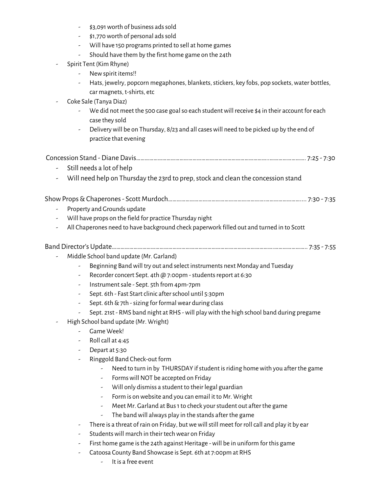- \$3,091 worth of business ads sold
- \$1,770worth of personal adssold
- Will have 150 programs printed to sell at home games
- Should have them by the first home game on the 24th
- Spirit Tent (Kim Rhyne)
	- Newspirit items!!
	- Hats, jewelry, popcorn megaphones, blankets, stickers, key fobs, pop sockets, water bottles, car magnets, t-shirts, etc
- Coke Sale (Tanya Diaz)
	- We did not meet the 500 case goal so each student will receive \$4 in their account for each case they sold
	- Delivery will be on Thursday, 8/23 and all cases will need to be picked up by the end of practice that evening

#### Concession Stand - Diane Davis………………………………………………………………………………..……………………. 7:25 - 7:30

- Still needs a lot of help
- Will need help on Thursday the 23rd to prep, stock and clean the concession stand

## ShowProps&Chaperones- Scott Murdoch………………………………………………………….…………………….... 7:30 - 7:35

- Property and Grounds update
- Will have props on the field for practice Thursday night
- All Chaperones need to have background check paperwork filled out and turned in to Scott

## Band Director's Update………………………………………………………………………………………………….………………….. 7:35 - 7:55

- Middle School band update (Mr. Garland)
	- Beginning Bandwill try out and select instruments next Monday and Tuesday
	- Recorder concert Sept. 4th @ 7:00pm students report at 6:30
	- Instrumentsale Sept. 5th from 4pm-7pm
	- Sept. 6th Fast Start clinic after school until 5:30pm
	- Sept. 6th&7th -sizing for formalwear during class
	- Sept. 21st RMS band night at RHS -will playwith the high school band during pregame
- High School band update (Mr. Wright)
	- Game Week!
	- Rollcall at 4:45
	- Depart at 5:30
	- Ringgold Band Check-out form
		- Need to turn in by THURSDAY if student is riding home with you after the game
			- Forms will NOT be accepted on Friday
			- Will only dismiss a student to their legal guardian
			- Form is onwebsite and you can email it to Mr. Wright
			- Meet Mr. Garland at Bus1to check yourstudent out after the game
			- The band will always play in the stands after the game
	- There is a threat of rain on Friday, but we will still meet for roll call and play it by ear
	- Students will march in their tech wear on Friday
	- First home game is the 24th against Heritage will be in uniform for this game
	- Catoosa County Band Showcase is Sept. 6th at 7:00pm at RHS
		- It is a free event